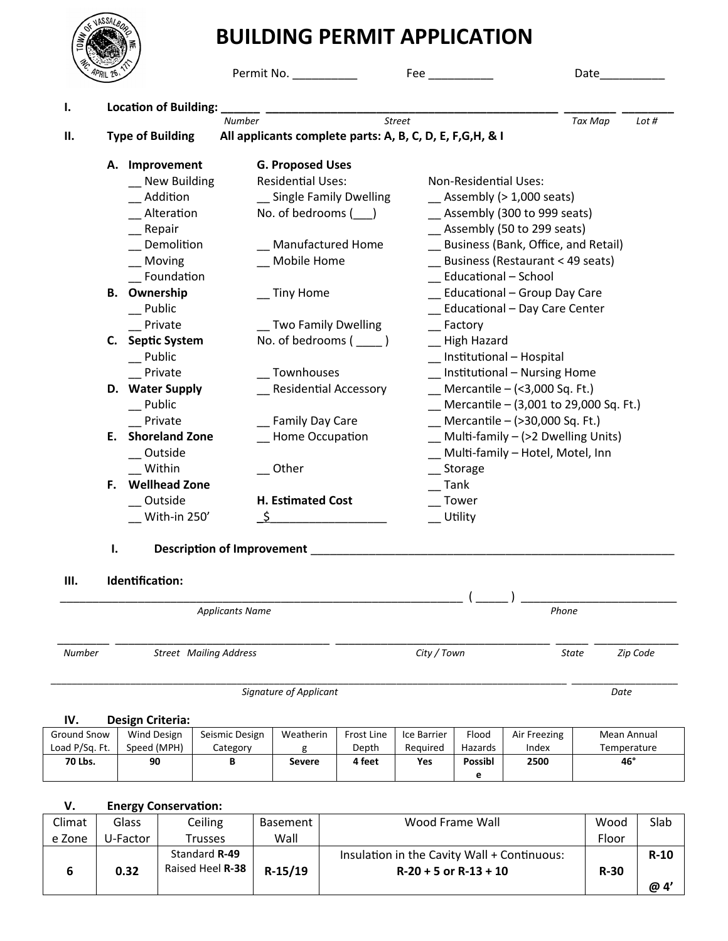

|    |  |                              | Permit No. __________                                      |                                           | Date               |  |
|----|--|------------------------------|------------------------------------------------------------|-------------------------------------------|--------------------|--|
|    |  | <b>Location of Building:</b> |                                                            |                                           |                    |  |
| П. |  |                              | <b>Street</b><br><b>Number</b>                             |                                           | Tax Map<br>Lot $#$ |  |
|    |  | <b>Type of Building</b>      | All applicants complete parts: A, B, C, D, E, F, G, H, & I |                                           |                    |  |
|    |  | A. Improvement               | <b>G. Proposed Uses</b>                                    |                                           |                    |  |
|    |  | _ New Building               | <b>Residential Uses:</b>                                   | <b>Non-Residential Uses:</b>              |                    |  |
|    |  | Addition                     | _ Single Family Dwelling                                   | $\_\$ Assembly ( $>$ 1,000 seats)         |                    |  |
|    |  | Alteration                   | No. of bedrooms $($                                        | __ Assembly (300 to 999 seats)            |                    |  |
|    |  | Repair                       |                                                            | Assembly (50 to 299 seats)                |                    |  |
|    |  | Demolition                   | <b>Manufactured Home</b>                                   | Business (Bank, Office, and Retail)       |                    |  |
|    |  | Moving                       | Mobile Home                                                | $\equiv$ Business (Restaurant < 49 seats) |                    |  |
|    |  | Foundation                   |                                                            | Educational - School                      |                    |  |
|    |  | <b>B.</b> Ownership          | __ Tiny Home                                               | Educational - Group Day Care              |                    |  |
|    |  | Public                       |                                                            | <b>Educational - Day Care Center</b>      |                    |  |
|    |  | Private                      | _ Two Family Dwelling                                      | Factory                                   |                    |  |
|    |  | C. Septic System             | No. of bedrooms $(\_\_)$                                   | High Hazard                               |                    |  |
|    |  | _Public                      |                                                            | _ Institutional - Hospital                |                    |  |
|    |  | Private                      | Townhouses                                                 | _ Institutional - Nursing Home            |                    |  |
|    |  | D. Water Supply              | Residential Accessory                                      | Mercantile $-$ (<3,000 Sq. Ft.)           |                    |  |
|    |  | Public                       |                                                            | Mercantile – (3,001 to 29,000 Sq. Ft.)    |                    |  |
|    |  | Private                      | Family Day Care                                            | Mercantile – (>30,000 Sq. Ft.)            |                    |  |
|    |  | <b>E.</b> Shoreland Zone     | <b>Home Occupation</b>                                     | $Mult$ -family – (>2 Dwelling Units)      |                    |  |
|    |  | Outside                      |                                                            | Multi-family - Hotel, Motel, Inn          |                    |  |
|    |  | Within                       | Other                                                      | Storage                                   |                    |  |
|    |  | F. Wellhead Zone             |                                                            | Tank                                      |                    |  |
|    |  | Outside                      | H. Estimated Cost                                          | Tower                                     |                    |  |
|    |  | With-in 250'                 | S                                                          | Utility                                   |                    |  |

## **III. Identification:**

**VASSA/** 

|               | <b>Applicants Name</b>        |             | Phone |          |
|---------------|-------------------------------|-------------|-------|----------|
| <b>Number</b> | <b>Street</b> Mailing Address | City / Town | State | Zip Code |

**Signature of Applicant Date** Date Date Date

### **IV. Design Criteria:**

| .              | 555151151151141 |                |           |            |             |                |              |             |
|----------------|-----------------|----------------|-----------|------------|-------------|----------------|--------------|-------------|
| Ground Snow    | Wind Design     | Seismic Design | Weatherin | Frost Line | Ice Barrier | Flood          | Air Freezing | Mean Annual |
| Load P/Sq. Ft. | Speed (MPH)     | Category       |           | Depth      | Required    | Hazards        | Index        | Temperature |
| 70 Lbs.        | 90              |                | Severe    | 4 feet     | Yes         | <b>Possibl</b> | 2500         | 46°         |
|                |                 |                |           |            |             | ۰              |              |             |

# **V. Energy Conservation:**

| Climat | Glass    | Ceiling                                  | Basement  | Wood Frame Wall                                                          | Wood   | Slab   |
|--------|----------|------------------------------------------|-----------|--------------------------------------------------------------------------|--------|--------|
| e Zone | U-Factor | Trusses                                  | Wall      |                                                                          | Floor  |        |
|        | 0.32     | Standard R-49<br>Raised Heel <b>R-38</b> | $R-15/19$ | Insulation in the Cavity Wall + Continuous:<br>$R-20 + 5$ or $R-13 + 10$ | $R-30$ | $R-10$ |
|        |          |                                          |           |                                                                          |        | @ 4'   |

*\_\_\_\_\_\_\_\_\_\_\_\_\_\_\_\_\_\_\_\_\_\_\_\_\_\_\_\_\_\_\_\_\_\_\_\_\_\_\_\_\_\_\_\_\_\_\_\_\_\_\_\_\_\_\_\_\_\_\_\_\_\_\_\_\_\_\_\_\_\_\_\_\_\_\_\_\_\_\_\_\_\_\_\_\_\_\_\_\_\_\_\_\_\_\_\_\_ \_\_\_\_\_\_\_\_\_\_\_\_\_\_\_\_\_\_\_\_*

- 
- **I. Description of Improvement** \_\_\_\_\_\_\_\_\_\_\_\_\_\_\_\_\_\_\_\_\_\_\_\_\_\_\_\_\_\_\_\_\_\_\_\_\_\_\_\_\_\_\_\_\_\_\_\_\_\_\_\_\_\_\_\_
-